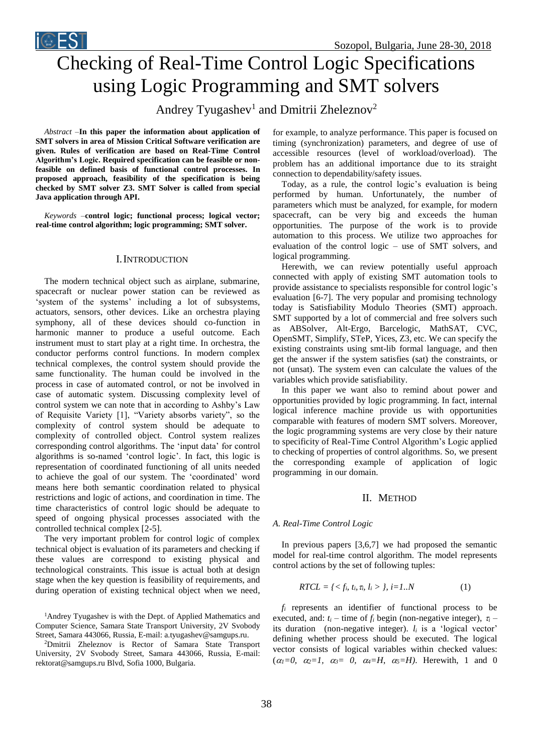

# Checking of Real-Time Control Logic Specifications using Logic Programming and SMT solvers

Andrey Tyugashev<sup>1</sup> and Dmitrii Zheleznov<sup>2</sup>

*Abstract –***In this paper the information about application of SMT solvers in area of Mission Critical Software verification are given. Rules of verification are based on Real-Time Control Algorithm's Logic. Required specification can be feasible or nonfeasible on defined basis of functional control processes. In proposed approach, feasibility of the specification is being checked by SMT solver Z3. SMT Solver is called from special Java application through API.**

*Keywords –***control logic; functional process; logical vector; real-time control algorithm; logic programming; SMT solver.**

# I.INTRODUCTION

The modern technical object such as airplane, submarine, spacecraft or nuclear power station can be reviewed as 'system of the systems' including a lot of subsystems, actuators, sensors, other devices. Like an orchestra playing symphony, all of these devices should co-function in harmonic manner to produce a useful outcome. Each instrument must to start play at a right time. In orchestra, the conductor performs control functions. In modern complex technical complexes, the control system should provide the same functionality. The human could be involved in the process in case of automated control, or not be involved in case of automatic system. Discussing complexity level of control system we can note that in according to Ashby's Law of Requisite Variety [1], "Variety absorbs variety", so the complexity of control system should be adequate to complexity of controlled object. Control system realizes corresponding control algorithms. The 'input data' for control algorithms is so-named 'control logic'. In fact, this logic is representation of coordinated functioning of all units needed to achieve the goal of our system. The 'coordinated' word means here both semantic coordination related to physical restrictions and logic of actions, and coordination in time. The time characteristics of control logic should be adequate to speed of ongoing physical processes associated with the controlled technical complex [2-5].

The very important problem for control logic of complex technical object is evaluation of its parameters and checking if these values are correspond to existing physical and technological constraints. This issue is actual both at design stage when the key question is feasibility of requirements, and during operation of existing technical object when we need,

<sup>1</sup>Andrey Tyugashev is with the Dept. of Applied Mathematics and Computer Science, Samara State Transport University, 2V Svobody Street, Samara 443066, Russia, E-mail: a.tyugashev@samgups.ru.

<sup>2</sup>Dmitrii Zheleznov is Rector of Samara State Transport University, 2V Svobody Street, Samara 443066, Russia, E-mail: rektorat@samgups.ru Blvd, Sofia 1000, Bulgaria.

for example, to analyze performance. This paper is focused on timing (synchronization) parameters, and degree of use of accessible resources (level of workload/overload). The problem has an additional importance due to its straight connection to dependability/safety issues.

Today, as a rule, the control logic's evaluation is being performed by human. Unfortunately, the number of parameters which must be analyzed, for example, for modern spacecraft, can be very big and exceeds the human opportunities. The purpose of the work is to provide automation to this process. We utilize two approaches for evaluation of the control logic – use of SMT solvers, and logical programming.

Herewith, we can review potentially useful approach connected with apply of existing SMT automation tools to provide assistance to specialists responsible for control logic's evaluation [6-7]. The very popular and promising technology today is Satisfiability Modulo Theories (SMT) approach. SMT supported by a lot of commercial and free solvers such as ABSolver, Alt-Ergo, Barcelogic, MathSAT, CVC, OpenSMT, Simplify, STeP, Yices, Z3, etc. We can specify the existing constraints using smt-lib formal language, and then get the answer if the system satisfies (sat) the constraints, or not (unsat). The system even can calculate the values of the variables which provide satisfiability.

In this paper we want also to remind about power and opportunities provided by logic programming. In fact, internal logical inference machine provide us with opportunities comparable with features of modern SMT solvers. Moreover, the logic programming systems are very close by their nature to specificity of Real-Time Control Algorithm's Logic applied to checking of properties of control algorithms. So, we present the corresponding example of application of logic programming in our domain.

# II. METHOD

# *A. Real-Time Control Logic*

In previous papers [3,6,7] we had proposed the semantic model for real-time control algorithm. The model represents control actions by the set of following tuples:

$$
RTCL = \{ \langle f_i, t_i, \tau_i, l_i \rangle, j = 1..N \tag{1}
$$

*f<sup>i</sup>* represents an identifier of functional process to be executed, and:  $t_i$  – time of  $f_i$  begin (non-negative integer),  $\tau_i$  – its duration (non-negative integer).  $l_i$  is a 'logical vector' defining whether process should be executed. The logical vector consists of logical variables within checked values:  $(\alpha_1=0, \alpha_2=1, \alpha_3=0, \alpha_4=H, \alpha_5=H)$ . Herewith, 1 and 0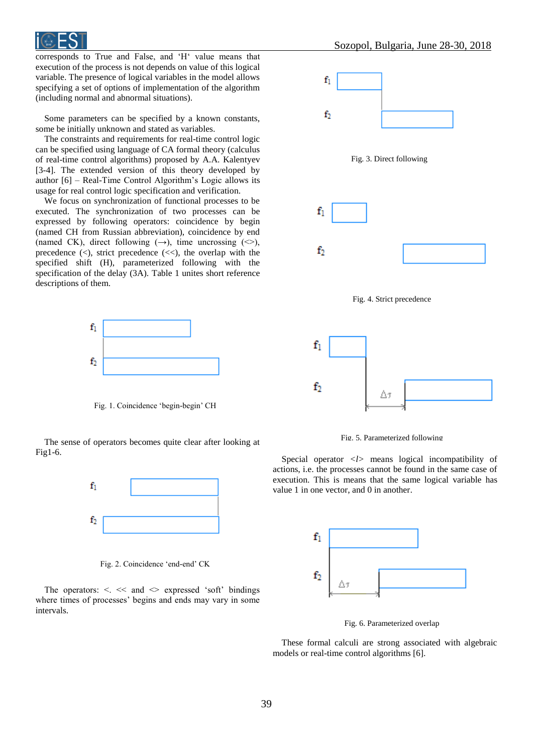

corresponds to True and False, and 'H' value means that execution of the process is not depends on value of this logical variable. The presence of logical variables in the model allows specifying a set of options of implementation of the algorithm (including normal and abnormal situations).

Some parameters can be specified by a known constants, some be initially unknown and stated as variables.

The constraints and requirements for real-time control logic can be specified using language of CA formal theory (calculus of real-time control algorithms) proposed by A.A. Kalentyev [3-4]. The extended version of this theory developed by author [6] – Real-Time Control Algorithm's Logic allows its usage for real control logic specification and verification.

We focus on synchronization of functional processes to be executed. The synchronization of two processes can be expressed by following operators: coincidence by begin (named CH from Russian abbreviation), coincidence by end (named CK), direct following  $(\rightarrow)$ , time uncrossing  $(\rightsquigarrow)$ , precedence  $(\le)$ , strict precedence  $(\le)$ , the overlap with the specified shift (H), parameterized following with the specification of the delay (3A). Table 1 unites short reference descriptions of them.



Fig. 1. Coincidence 'begin-begin' CH

The sense of operators becomes quite clear after looking at Fig1-6.



Fig. 2. Coincidence 'end-end' CK

The operators:  $\lt$   $\lt$  and  $\lt$  expressed 'soft' bindings where times of processes' begins and ends may vary in some intervals.



Fig. 5. Parameterized following

Special operator <l> means logical incompatibility of actions, i.e. the processes cannot be found in the same case of execution. This is means that the same logical variable has value 1 in one vector, and 0 in another.



Fig. 6. Parameterized overlap

These formal calculi are strong associated with algebraic models or real-time control algorithms [6].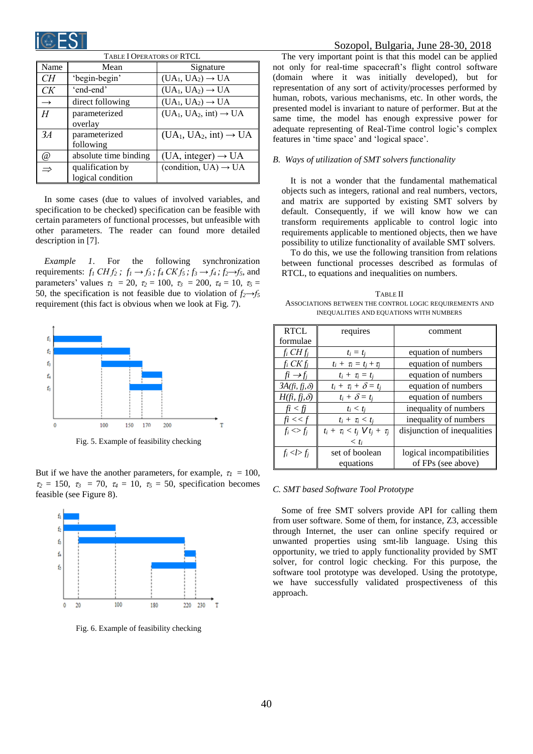

| TABLE I OPERATORS OF RTCL |                                       |                                    |  |
|---------------------------|---------------------------------------|------------------------------------|--|
| Name                      | Mean                                  | Signature                          |  |
| CН                        | 'begin-begin'                         | $(UA_1, UA_2) \rightarrow UA$      |  |
| CК                        | 'end-end'                             | $(UA_1, UA_2) \rightarrow UA$      |  |
| $\rightarrow$             | direct following                      | $(UA_1, UA_2) \rightarrow UA$      |  |
| H                         | parameterized<br>overlay              | $(UA_1, UA_2, int) \rightarrow UA$ |  |
| 3A                        | parameterized<br>following            | $(UA_1, UA_2, int) \rightarrow UA$ |  |
| @                         | absolute time binding                 | $(UA, integer) \rightarrow UA$     |  |
|                           | qualification by<br>logical condition | (condition, $UA) \rightarrow UA$   |  |

In some cases (due to values of involved variables, and specification to be checked) specification can be feasible with certain parameters of functional processes, but unfeasible with other parameters. The reader can found more detailed description in [7].

*Example 1*. For the following synchronization requirements:  $f_1 CH f_2$ ;  $f_1 \rightarrow f_3$ ;  $f_4 CK f_5$ ;  $f_3 \rightarrow f_4$ ;  $f_2 \rightarrow f_5$ , and parameters' values  $\tau_1 = 20$ ,  $\tau_2 = 100$ ,  $\tau_3 = 200$ ,  $\tau_4 = 10$ ,  $\tau_5 =$ 50, the specification is not feasible due to violation of  $f_2 \rightarrow f_5$ requirement (this fact is obvious when we look at Fig. 7).



Fig. 5. Example of feasibility checking

But if we have the another parameters, for example,  $\tau_1 = 100$ ,  $\tau_2 = 150$ ,  $\tau_3 = 70$ ,  $\tau_4 = 10$ ,  $\tau_5 = 50$ , specification becomes feasible (see Figure 8).



Fig. 6. Example of feasibility checking

The very important point is that this model can be applied not only for real-time spacecraft's flight control software (domain where it was initially developed), but for representation of any sort of activity/processes performed by human, robots, various mechanisms, etc. In other words, the presented model is invariant to nature of performer. But at the same time, the model has enough expressive power for adequate representing of Real-Time control logic's complex features in 'time space' and 'logical space'.

### *B. Ways of utilization of SMT solvers functionality*

It is not a wonder that the fundamental mathematical objects such as integers, rational and real numbers, vectors, and matrix are supported by existing SMT solvers by default. Consequently, if we will know how we can transform requirements applicable to control logic into requirements applicable to mentioned objects, then we have possibility to utilize functionality of available SMT solvers.

To do this, we use the following transition from relations between functional processes described as formulas of RTCL, to equations and inequalities on numbers.

TABLE II ASSOCIATIONS BETWEEN THE CONTROL LOGIC REQUIREMENTS AND INEQUALITIES AND EQUATIONS WITH NUMBERS

| <b>RTCL</b>            | requires                                       | comment                     |
|------------------------|------------------------------------------------|-----------------------------|
| formulae               |                                                |                             |
| $f_i$ CH $f_i$         | $t_i = t_i$                                    | equation of numbers         |
| $f_i$ CK $f_i$         | $t_i + \tau_i = t_i + \tau_i$                  | equation of numbers         |
| $fi \rightarrow f_i$   | $t_i + \tau_i = t_i$                           | equation of numbers         |
| $3A(f_i, f_j, \delta)$ | $t_i + \tau_i + \delta = t_i$                  | equation of numbers         |
| $H(f_i, f_j, \delta)$  | $t_i + \delta = t_j$                           | equation of numbers         |
| fi < fj                | $t_i < t_i$                                    | inequality of numbers       |
| fi < < f               | $t_i + \tau_i < t_i$                           | inequality of numbers       |
| $f_i \ll f_j$          | $t_i + \tau_i < t_j \ \mathsf{V} t_j + \tau_j$ | disjunction of inequalities |
|                        | $< t_i$                                        |                             |
| $f_i$ < $l$ > $f_j$    | set of boolean                                 | logical incompatibilities   |
|                        | equations                                      | of FPs (see above)          |

#### *C. SMT based Software Tool Prototype*

Some of free SMT solvers provide API for calling them from user software. Some of them, for instance, Z3, accessible through Internet, the user can online specify required or unwanted properties using smt-lib language. Using this opportunity, we tried to apply functionality provided by SMT solver, for control logic checking. For this purpose, the software tool prototype was developed. Using the prototype, we have successfully validated prospectiveness of this approach.